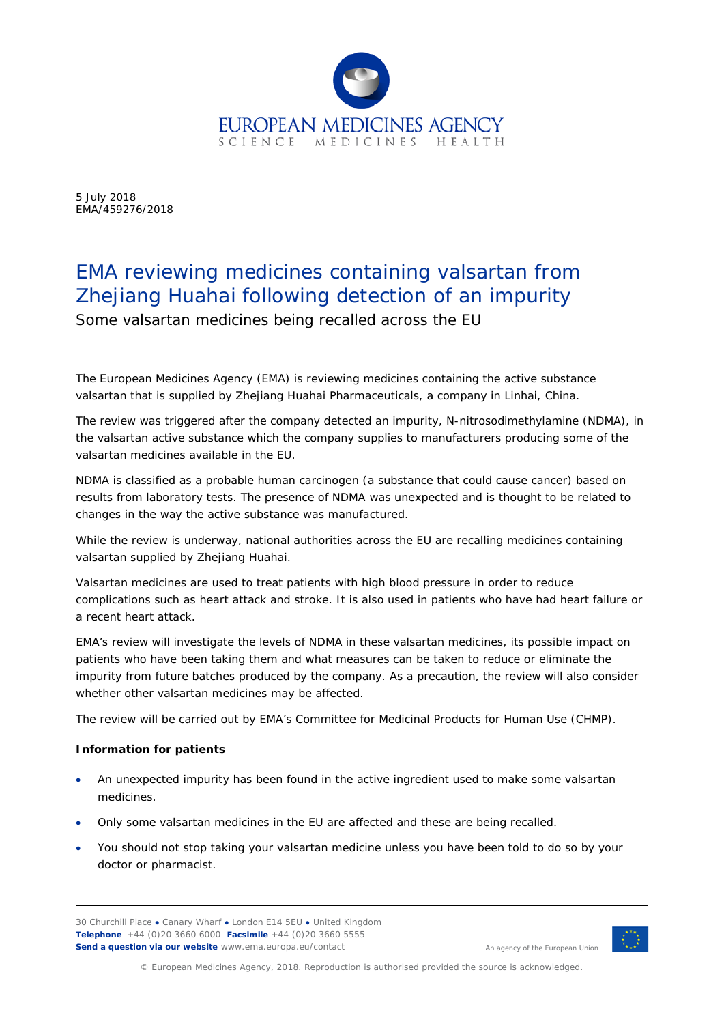

5 July 2018 EMA/459276/2018

# EMA reviewing medicines containing valsartan from Zhejiang Huahai following detection of an impurity

Some valsartan medicines being recalled across the EU

The European Medicines Agency (EMA) is reviewing medicines containing the active substance valsartan that is supplied by Zhejiang Huahai Pharmaceuticals, a company in Linhai, China.

The review was triggered after the company detected an impurity, N-nitrosodimethylamine (NDMA), in the valsartan active substance which the company supplies to manufacturers producing some of the valsartan medicines available in the EU.

NDMA is classified as a probable human carcinogen (a substance that could cause cancer) based on results from laboratory tests. The presence of NDMA was unexpected and is thought to be related to changes in the way the active substance was manufactured.

While the review is underway, national authorities across the EU are recalling medicines containing valsartan supplied by Zhejiang Huahai.

Valsartan medicines are used to treat patients with high blood pressure in order to reduce complications such as heart attack and stroke. It is also used in patients who have had heart failure or a recent heart attack.

EMA's review will investigate the levels of NDMA in these valsartan medicines, its possible impact on patients who have been taking them and what measures can be taken to reduce or eliminate the impurity from future batches produced by the company. As a precaution, the review will also consider whether other valsartan medicines may be affected.

The review will be carried out by EMA's Committee for Medicinal Products for Human Use (CHMP).

## **Information for patients**

- An unexpected impurity has been found in the active ingredient used to make some valsartan medicines.
- Only some valsartan medicines in the EU are affected and these are being recalled.
- You should not stop taking your valsartan medicine unless you have been told to do so by your doctor or pharmacist.

30 Churchill Place **●** Canary Wharf **●** London E14 5EU **●** United Kingdom **Telephone** +44 (0)20 3660 6000 **Facsimile** +44 (0)20 3660 5555 **Send a question via our website** www.ema.europa.eu/contact



An agency of the European Union

© European Medicines Agency, 2018. Reproduction is authorised provided the source is acknowledged.